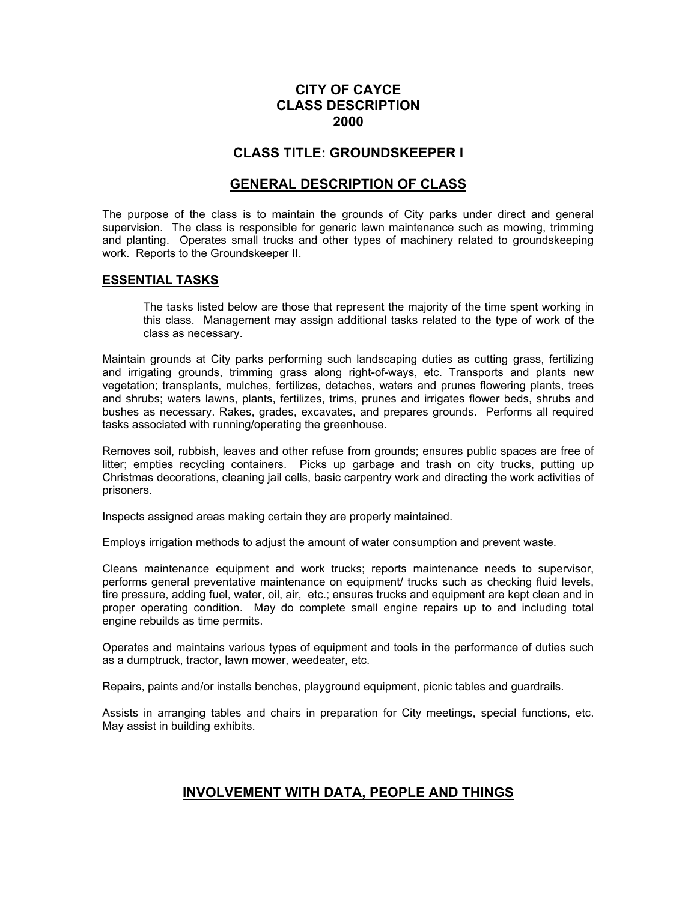# **CITY OF CAYCE CLASS DESCRIPTION 2000**

# **CLASS TITLE: GROUNDSKEEPER I**

## **GENERAL DESCRIPTION OF CLASS**

The purpose of the class is to maintain the grounds of City parks under direct and general supervision. The class is responsible for generic lawn maintenance such as mowing, trimming and planting. Operates small trucks and other types of machinery related to groundskeeping work. Reports to the Groundskeeper II.

#### **ESSENTIAL TASKS**

The tasks listed below are those that represent the majority of the time spent working in this class. Management may assign additional tasks related to the type of work of the class as necessary.

Maintain grounds at City parks performing such landscaping duties as cutting grass, fertilizing and irrigating grounds, trimming grass along right-of-ways, etc. Transports and plants new vegetation; transplants, mulches, fertilizes, detaches, waters and prunes flowering plants, trees and shrubs; waters lawns, plants, fertilizes, trims, prunes and irrigates flower beds, shrubs and bushes as necessary. Rakes, grades, excavates, and prepares grounds. Performs all required tasks associated with running/operating the greenhouse.

Removes soil, rubbish, leaves and other refuse from grounds; ensures public spaces are free of litter; empties recycling containers. Picks up garbage and trash on city trucks, putting up Christmas decorations, cleaning jail cells, basic carpentry work and directing the work activities of prisoners.

Inspects assigned areas making certain they are properly maintained.

Employs irrigation methods to adjust the amount of water consumption and prevent waste.

Cleans maintenance equipment and work trucks; reports maintenance needs to supervisor, performs general preventative maintenance on equipment/ trucks such as checking fluid levels, tire pressure, adding fuel, water, oil, air, etc.; ensures trucks and equipment are kept clean and in proper operating condition. May do complete small engine repairs up to and including total engine rebuilds as time permits.

Operates and maintains various types of equipment and tools in the performance of duties such as a dumptruck, tractor, lawn mower, weedeater, etc.

Repairs, paints and/or installs benches, playground equipment, picnic tables and guardrails.

Assists in arranging tables and chairs in preparation for City meetings, special functions, etc. May assist in building exhibits.

## **INVOLVEMENT WITH DATA, PEOPLE AND THINGS**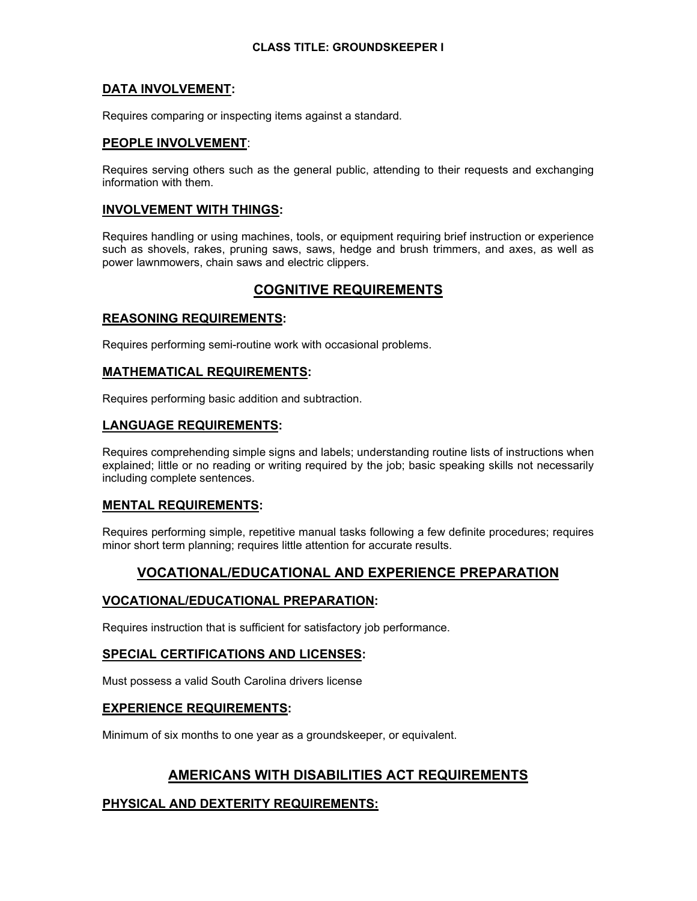### **CLASS TITLE: GROUNDSKEEPER I**

## **DATA INVOLVEMENT:**

Requires comparing or inspecting items against a standard.

## **PEOPLE INVOLVEMENT**:

Requires serving others such as the general public, attending to their requests and exchanging information with them.

### **INVOLVEMENT WITH THINGS:**

Requires handling or using machines, tools, or equipment requiring brief instruction or experience such as shovels, rakes, pruning saws, saws, hedge and brush trimmers, and axes, as well as power lawnmowers, chain saws and electric clippers.

# **COGNITIVE REQUIREMENTS**

## **REASONING REQUIREMENTS:**

Requires performing semi-routine work with occasional problems.

#### **MATHEMATICAL REQUIREMENTS:**

Requires performing basic addition and subtraction.

#### **LANGUAGE REQUIREMENTS:**

Requires comprehending simple signs and labels; understanding routine lists of instructions when explained; little or no reading or writing required by the job; basic speaking skills not necessarily including complete sentences.

#### **MENTAL REQUIREMENTS:**

Requires performing simple, repetitive manual tasks following a few definite procedures; requires minor short term planning; requires little attention for accurate results.

# **VOCATIONAL/EDUCATIONAL AND EXPERIENCE PREPARATION**

## **VOCATIONAL/EDUCATIONAL PREPARATION:**

Requires instruction that is sufficient for satisfactory job performance.

#### **SPECIAL CERTIFICATIONS AND LICENSES:**

Must possess a valid South Carolina drivers license

## **EXPERIENCE REQUIREMENTS:**

Minimum of six months to one year as a groundskeeper, or equivalent.

# **AMERICANS WITH DISABILITIES ACT REQUIREMENTS**

## **PHYSICAL AND DEXTERITY REQUIREMENTS:**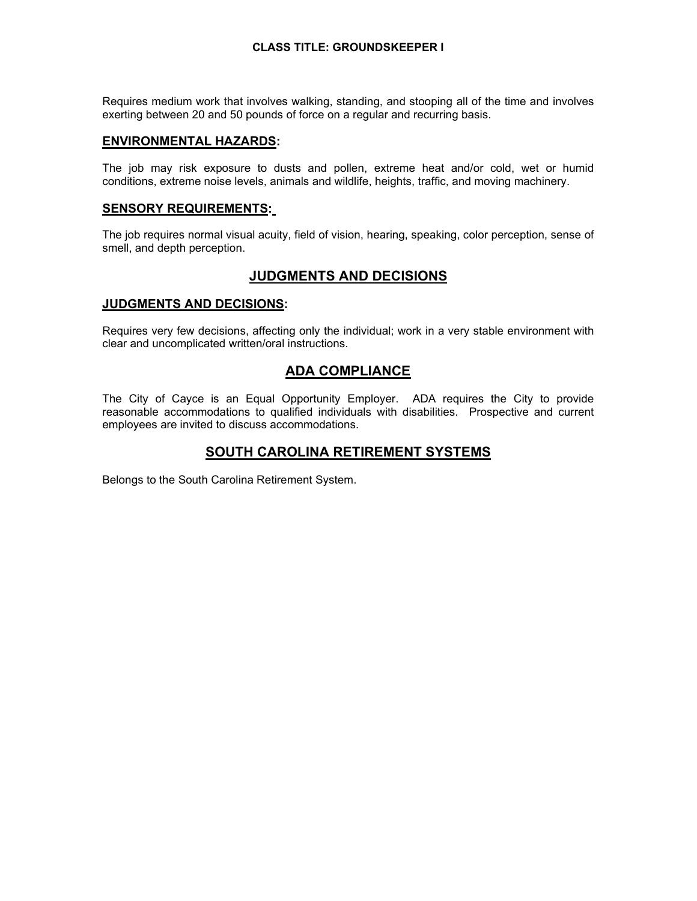#### **CLASS TITLE: GROUNDSKEEPER I**

Requires medium work that involves walking, standing, and stooping all of the time and involves exerting between 20 and 50 pounds of force on a regular and recurring basis.

#### **ENVIRONMENTAL HAZARDS:**

The job may risk exposure to dusts and pollen, extreme heat and/or cold, wet or humid conditions, extreme noise levels, animals and wildlife, heights, traffic, and moving machinery.

#### **SENSORY REQUIREMENTS:**

The job requires normal visual acuity, field of vision, hearing, speaking, color perception, sense of smell, and depth perception.

## **JUDGMENTS AND DECISIONS**

#### **JUDGMENTS AND DECISIONS:**

Requires very few decisions, affecting only the individual; work in a very stable environment with clear and uncomplicated written/oral instructions.

## **ADA COMPLIANCE**

The City of Cayce is an Equal Opportunity Employer. ADA requires the City to provide reasonable accommodations to qualified individuals with disabilities. Prospective and current employees are invited to discuss accommodations.

## **SOUTH CAROLINA RETIREMENT SYSTEMS**

Belongs to the South Carolina Retirement System.